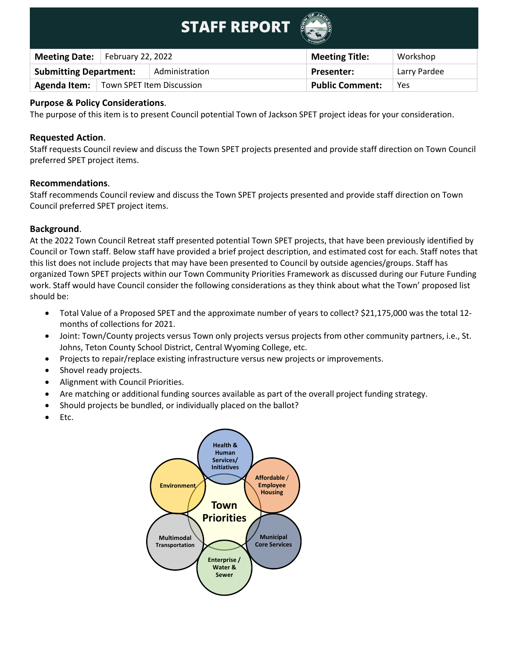|                               |                   | <b>STAFF REPORT</b>       |                        |              |
|-------------------------------|-------------------|---------------------------|------------------------|--------------|
| <b>Meeting Date:</b>          | February 22, 2022 |                           | <b>Meeting Title:</b>  | Workshop     |
| <b>Submitting Department:</b> |                   | Administration            | <b>Presenter:</b>      | Larry Pardee |
| Agenda Item:                  |                   | Town SPET Item Discussion | <b>Public Comment:</b> | Yes          |

# **Purpose & Policy Considerations**.

The purpose of this item is to present Council potential Town of Jackson SPET project ideas for your consideration.

#### **Requested Action**.

Staff requests Council review and discuss the Town SPET projects presented and provide staff direction on Town Council preferred SPET project items.

#### **Recommendations**.

Staff recommends Council review and discuss the Town SPET projects presented and provide staff direction on Town Council preferred SPET project items.

# **Background**.

At the 2022 Town Council Retreat staff presented potential Town SPET projects, that have been previously identified by Council or Town staff. Below staff have provided a brief project description, and estimated cost for each. Staff notes that this list does not include projects that may have been presented to Council by outside agencies/groups. Staff has organized Town SPET projects within our Town Community Priorities Framework as discussed during our Future Funding work. Staff would have Council consider the following considerations as they think about what the Town' proposed list should be:

- Total Value of a Proposed SPET and the approximate number of years to collect? \$21,175,000 was the total 12 months of collections for 2021.
- Joint: Town/County projects versus Town only projects versus projects from other community partners, i.e., St. Johns, Teton County School District, Central Wyoming College, etc.
- Projects to repair/replace existing infrastructure versus new projects or improvements.
- Shovel ready projects.
- Alignment with Council Priorities.
- Are matching or additional funding sources available as part of the overall project funding strategy.
- Should projects be bundled, or individually placed on the ballot?
- Etc.

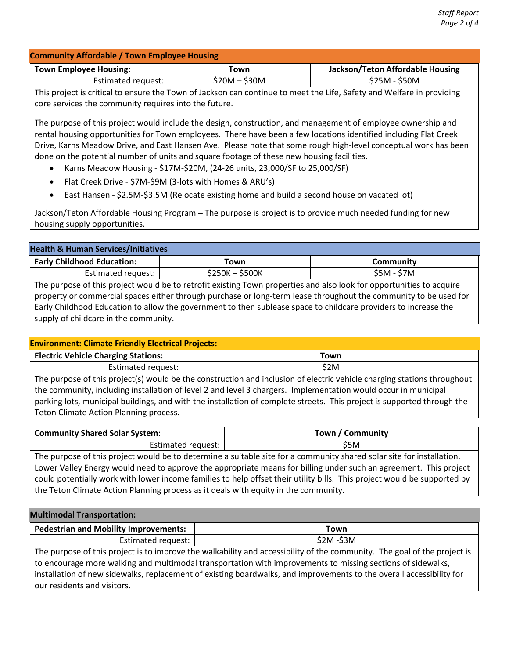| <b>Community Affordable / Town Employee Housing</b> |               |                                  |  |
|-----------------------------------------------------|---------------|----------------------------------|--|
| <b>Town Employee Housing:</b>                       | Town          | Jackson/Teton Affordable Housing |  |
| Estimated request:                                  | \$20M – \$30M | \$25M - \$50M                    |  |

This project is critical to ensure the Town of Jackson can continue to meet the Life, Safety and Welfare in providing core services the community requires into the future.

The purpose of this project would include the design, construction, and management of employee ownership and rental housing opportunities for Town employees. There have been a few locations identified including Flat Creek Drive, Karns Meadow Drive, and East Hansen Ave. Please note that some rough high-level conceptual work has been done on the potential number of units and square footage of these new housing facilities.

- Karns Meadow Housing \$17M-\$20M, (24-26 units, 23,000/SF to 25,000/SF)
- Flat Creek Drive \$7M-\$9M (3-lots with Homes & ARU's)
- East Hansen \$2.5M-\$3.5M (Relocate existing home and build a second house on vacated lot)

Jackson/Teton Affordable Housing Program – The purpose is project is to provide much needed funding for new housing supply opportunities.

| <b>Health &amp; Human Services/Initiatives</b>                                                                                                                                                                                                                                                                                                                                                       |               |                  |
|------------------------------------------------------------------------------------------------------------------------------------------------------------------------------------------------------------------------------------------------------------------------------------------------------------------------------------------------------------------------------------------------------|---------------|------------------|
| <b>Early Childhood Education:</b>                                                                                                                                                                                                                                                                                                                                                                    | Town          | <b>Community</b> |
| Estimated request:                                                                                                                                                                                                                                                                                                                                                                                   | \$250K-\$500K | $$5M - $7M$$     |
| The purpose of this project would be to retrofit existing Town properties and also look for opportunities to acquire<br>property or commercial spaces either through purchase or long-term lease throughout the community to be used for<br>Early Childhood Education to allow the government to then sublease space to childcare providers to increase the<br>supply of childcare in the community. |               |                  |

| <b>Environment: Climate Friendly Electrical Projects:</b> |      |
|-----------------------------------------------------------|------|
| <b>Electric Vehicle Charging Stations:</b>                | Town |

Estimated request:  $\vert$  \$2M The purpose of this project(s) would be the construction and inclusion of electric vehicle charging stations throughout the community, including installation of level 2 and level 3 chargers. Implementation would occur in municipal parking lots, municipal buildings, and with the installation of complete streets. This project is supported through the Teton Climate Action Planning process.

| Town / Community                                                                                                      |  |  |
|-----------------------------------------------------------------------------------------------------------------------|--|--|
| Estimated request:  <br>S5M                                                                                           |  |  |
| The purpose of this project would be to determine a suitable site for a community shared solar site for installation. |  |  |
| Lower Valley Energy would need to approve the appropriate means for billing under such an agreement. This project     |  |  |
|                                                                                                                       |  |  |

could potentially work with lower income families to help offset their utility bills. This project would be supported by the Teton Climate Action Planning process as it deals with equity in the community.

#### **Multimodal Transportation:**

| <sup>1</sup> Pedestrian and Mobility Improvements: | Town                         |
|----------------------------------------------------|------------------------------|
| Estimated request:                                 | -S3M<br>\$2M                 |
| .<br>$-$<br>.                                      | . .<br>. .<br>$\cdots$<br>__ |

The purpose of this project is to improve the walkability and accessibility of the community. The goal of the project is to encourage more walking and multimodal transportation with improvements to missing sections of sidewalks, installation of new sidewalks, replacement of existing boardwalks, and improvements to the overall accessibility for our residents and visitors.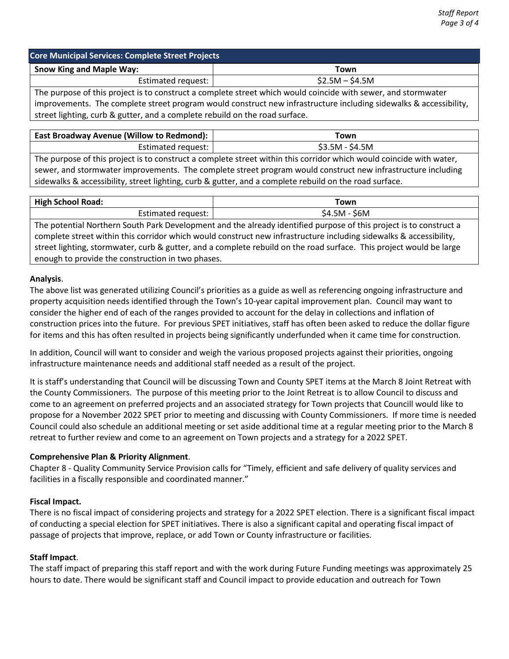| <b>Core Municipal Services: Complete Street Projects</b> |                 |  |
|----------------------------------------------------------|-----------------|--|
| <b>Snow King and Maple Way:</b>                          | Town            |  |
| Estimated request:                                       | $$2.5M - $4.5M$ |  |

The purpose of this project is to construct a complete street which would coincide with sewer, and stormwater improvements. The complete street program would construct new infrastructure including sidewalks & accessibility, street lighting, curb & gutter, and a complete rebuild on the road surface.

| East Broadway Avenue (Willow to Redmond):                                                                           | Town            |  |
|---------------------------------------------------------------------------------------------------------------------|-----------------|--|
| Estimated request:                                                                                                  | $$3.5M - $4.5M$ |  |
| The purpose of this project is to construct a complete street within this corridor which would coincide with water, |                 |  |

sewer, and stormwater improvements. The complete street program would construct new infrastructure including sidewalks & accessibility, street lighting, curb & gutter, and a complete rebuild on the road surface.

| <b>High School Road:</b> | ⊺own  |
|--------------------------|-------|
| Estimated                | \$6M  |
| request:                 | 54.5M |

The potential Northern South Park Development and the already identified purpose of this project is to construct a complete street within this corridor which would construct new infrastructure including sidewalks & accessibility, street lighting, stormwater, curb & gutter, and a complete rebuild on the road surface. This project would be large enough to provide the construction in two phases.

# **Analysis**.

The above list was generated utilizing Council's priorities as a guide as well as referencing ongoing infrastructure and property acquisition needs identified through the Town's 10-year capital improvement plan. Council may want to consider the higher end of each of the ranges provided to account for the delay in collections and inflation of construction prices into the future. For previous SPET initiatives, staff has often been asked to reduce the dollar figure for items and this has often resulted in projects being significantly underfunded when it came time for construction.

In addition, Council will want to consider and weigh the various proposed projects against their priorities, ongoing infrastructure maintenance needs and additional staff needed as a result of the project.

It is staff's understanding that Council will be discussing Town and County SPET items at the March 8 Joint Retreat with the County Commissioners. The purpose of this meeting prior to the Joint Retreat is to allow Council to discuss and come to an agreement on preferred projects and an associated strategy for Town projects that Councill would like to propose for a November 2022 SPET prior to meeting and discussing with County Commissioners. If more time is needed Council could also schedule an additional meeting or set aside additional time at a regular meeting prior to the March 8 retreat to further review and come to an agreement on Town projects and a strategy for a 2022 SPET.

# **Comprehensive Plan & Priority Alignment**.

Chapter 8 - Quality Community Service Provision calls for "Timely, efficient and safe delivery of quality services and facilities in a fiscally responsible and coordinated manner."

# **Fiscal Impact.**

There is no fiscal impact of considering projects and strategy for a 2022 SPET election. There is a significant fiscal impact of conducting a special election for SPET initiatives. There is also a significant capital and operating fiscal impact of passage of projects that improve, replace, or add Town or County infrastructure or facilities.

# **Staff Impact**.

The staff impact of preparing this staff report and with the work during Future Funding meetings was approximately 25 hours to date. There would be significant staff and Council impact to provide education and outreach for Town